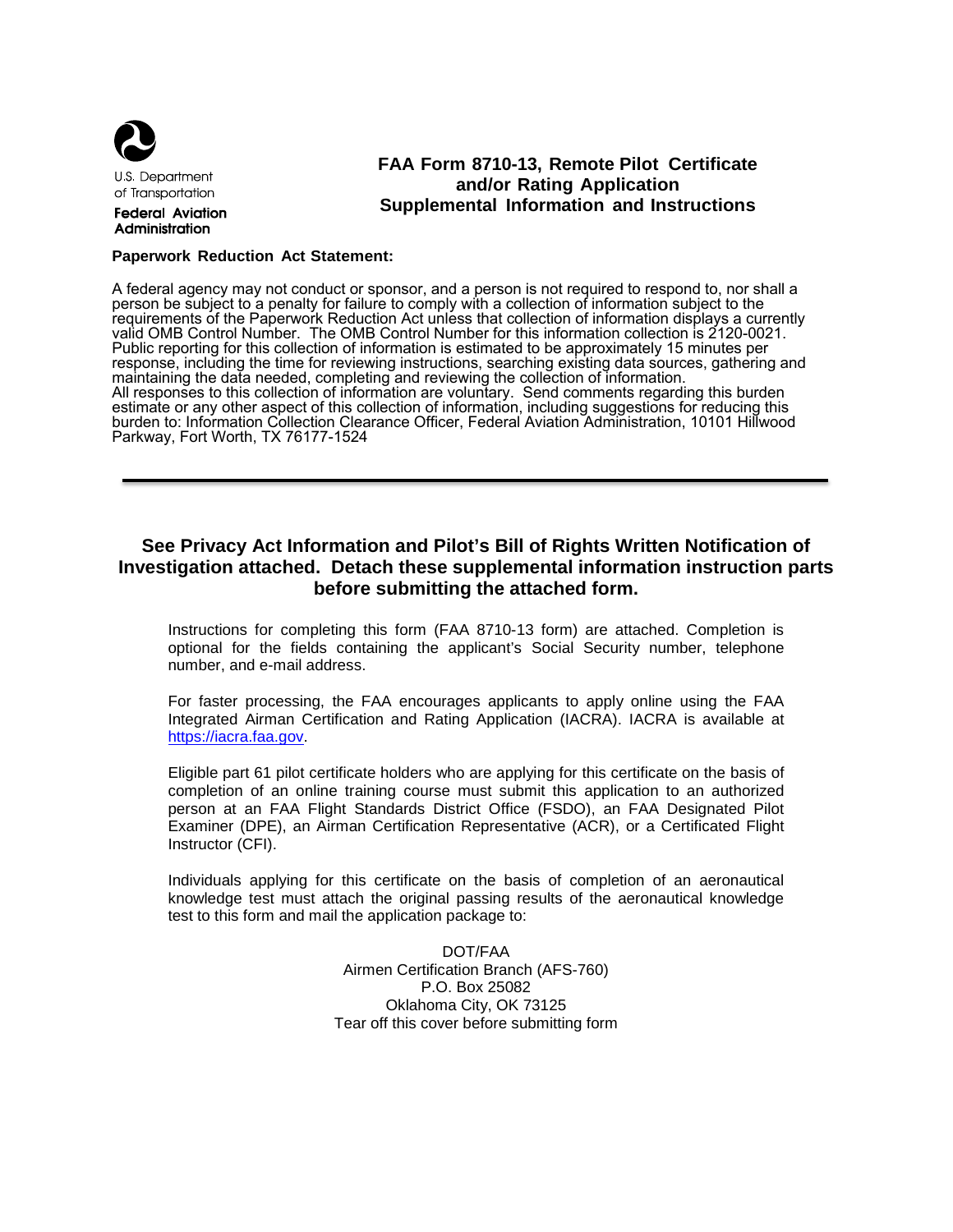

**U.S. Department** of Transportation

**Federal Aviation** Administration

## **FAA Form 8710-13, Remote Pilot Certificate and/or Rating Application Supplemental Information and Instructions**

#### **Paperwork Reduction Act Statement:**

A federal agency may not conduct or sponsor, and a person is not required to respond to, nor shall a person be subject to a penalty for failure to comply with a collection of information subject to the requirements of the Paperwork Reduction Act unless that collection of information displays a currently valid OMB Control Number. The OMB Control Number for this information collection is 2120-0021. Public reporting for this collection of information is estimated to be approximately 15 minutes per response, including the time for reviewing instructions, searching existing data sources, gathering and maintaining the data needed, completing and reviewing the collection of information. All responses to this collection of information are voluntary. Send comments regarding this burden estimate or any other aspect of this collection of information, including suggestions for reducing this burden to: Information Collection Clearance Officer, Federal Aviation Administration, 10101 Hillwood Parkway, Fort Worth, TX 76177-1524

## **See Privacy Act Information and Pilot's Bill of Rights Written Notification of Investigation attached. Detach these supplemental information instruction parts before submitting the attached form.**

Instructions for completing this form (FAA 8710-13 form) are attached. Completion is optional for the fields containing the applicant's Social Security number, telephone number, and e-mail address.

For faster processing, the FAA encourages applicants to apply online using the FAA Integrated Airman Certification and Rating Application (IACRA). IACRA is available at [https://iacra.faa.gov.](https://iacra.faa.gov/) 

Eligible part 61 pilot certificate holders who are applying for this certificate on the basis of completion of an online training course must submit this application to an authorized person at an FAA Flight Standards District Office (FSDO), an FAA Designated Pilot Examiner (DPE), an Airman Certification Representative (ACR), or a Certificated Flight Instructor (CFI).

Individuals applying for this certificate on the basis of completion of an aeronautical knowledge test must attach the original passing results of the aeronautical knowledge test to this form and mail the application package to:

> DOT/FAA Airmen Certification Branch (AFS-760) P.O. Box 25082 Oklahoma City, OK 73125 Tear off this cover before submitting form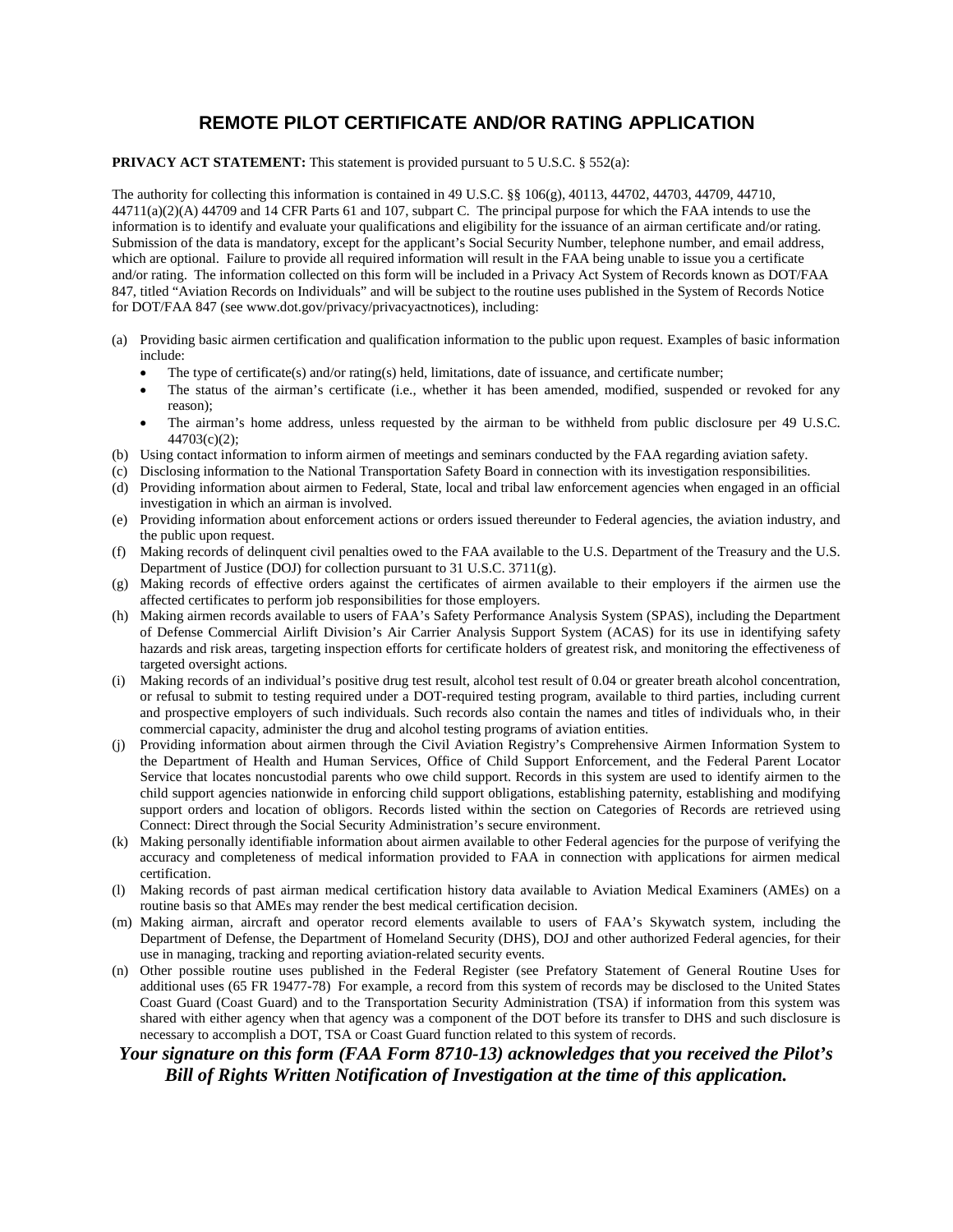# **REMOTE PILOT CERTIFICATE AND/OR RATING APPLICATION**

#### **PRIVACY ACT STATEMENT:** This statement is provided pursuant to 5 U.S.C. § 552(a):

The authority for collecting this information is contained in 49 U.S.C. §§ 106(g), 40113, 44702, 44703, 44709, 44710,  $44711(a)(2)(A)$  44709 and 14 CFR Parts 61 and 107, subpart C. The principal purpose for which the FAA intends to use the information is to identify and evaluate your qualifications and eligibility for the issuance of an airman certificate and/or rating. Submission of the data is mandatory, except for the applicant's Social Security Number, telephone number, and email address, which are optional. Failure to provide all required information will result in the FAA being unable to issue you a certificate and/or rating. The information collected on this form will be included in a Privacy Act System of Records known as DOT/FAA 847, titled "Aviation Records on Individuals" and will be subject to the routine uses published in the System of Records Notice for DOT/FAA 847 (see www.dot.gov/privacy/privacyactnotices), including:

- (a) Providing basic airmen certification and qualification information to the public upon request. Examples of basic information include:
	- The type of certificate(s) and/or rating(s) held, limitations, date of issuance, and certificate number;
	- The status of the airman's certificate (i.e., whether it has been amended, modified, suspended or revoked for any reason);
	- The airman's home address, unless requested by the airman to be withheld from public disclosure per 49 U.S.C. 44703(c)(2);
- (b) Using contact information to inform airmen of meetings and seminars conducted by the FAA regarding aviation safety.
- (c) Disclosing information to the National Transportation Safety Board in connection with its investigation responsibilities.
- (d) Providing information about airmen to Federal, State, local and tribal law enforcement agencies when engaged in an official investigation in which an airman is involved.
- (e) Providing information about enforcement actions or orders issued thereunder to Federal agencies, the aviation industry, and the public upon request.
- (f) Making records of delinquent civil penalties owed to the FAA available to the U.S. Department of the Treasury and the U.S. Department of Justice (DOJ) for collection pursuant to 31 U.S.C. 3711(g).
- (g) Making records of effective orders against the certificates of airmen available to their employers if the airmen use the affected certificates to perform job responsibilities for those employers.
- (h) Making airmen records available to users of FAA's Safety Performance Analysis System (SPAS), including the Department of Defense Commercial Airlift Division's Air Carrier Analysis Support System (ACAS) for its use in identifying safety hazards and risk areas, targeting inspection efforts for certificate holders of greatest risk, and monitoring the effectiveness of targeted oversight actions.
- (i) Making records of an individual's positive drug test result, alcohol test result of 0.04 or greater breath alcohol concentration, or refusal to submit to testing required under a DOT-required testing program, available to third parties, including current and prospective employers of such individuals. Such records also contain the names and titles of individuals who, in their commercial capacity, administer the drug and alcohol testing programs of aviation entities.
- (j) Providing information about airmen through the Civil Aviation Registry's Comprehensive Airmen Information System to the Department of Health and Human Services, Office of Child Support Enforcement, and the Federal Parent Locator Service that locates noncustodial parents who owe child support. Records in this system are used to identify airmen to the child support agencies nationwide in enforcing child support obligations, establishing paternity, establishing and modifying support orders and location of obligors. Records listed within the section on Categories of Records are retrieved using Connect: Direct through the Social Security Administration's secure environment.
- (k) Making personally identifiable information about airmen available to other Federal agencies for the purpose of verifying the accuracy and completeness of medical information provided to FAA in connection with applications for airmen medical certification.
- (l) Making records of past airman medical certification history data available to Aviation Medical Examiners (AMEs) on a routine basis so that AMEs may render the best medical certification decision.
- (m) Making airman, aircraft and operator record elements available to users of FAA's Skywatch system, including the Department of Defense, the Department of Homeland Security (DHS), DOJ and other authorized Federal agencies, for their use in managing, tracking and reporting aviation-related security events.
- (n) Other possible routine uses published in the Federal Register (see Prefatory Statement of General Routine Uses for additional uses (65 FR 19477-78) For example, a record from this system of records may be disclosed to the United States Coast Guard (Coast Guard) and to the Transportation Security Administration (TSA) if information from this system was shared with either agency when that agency was a component of the DOT before its transfer to DHS and such disclosure is necessary to accomplish a DOT, TSA or Coast Guard function related to this system of records.

### *Your signature on this form (FAA Form 8710-13) acknowledges that you received the Pilot's Bill of Rights Written Notification of Investigation at the time of this application.*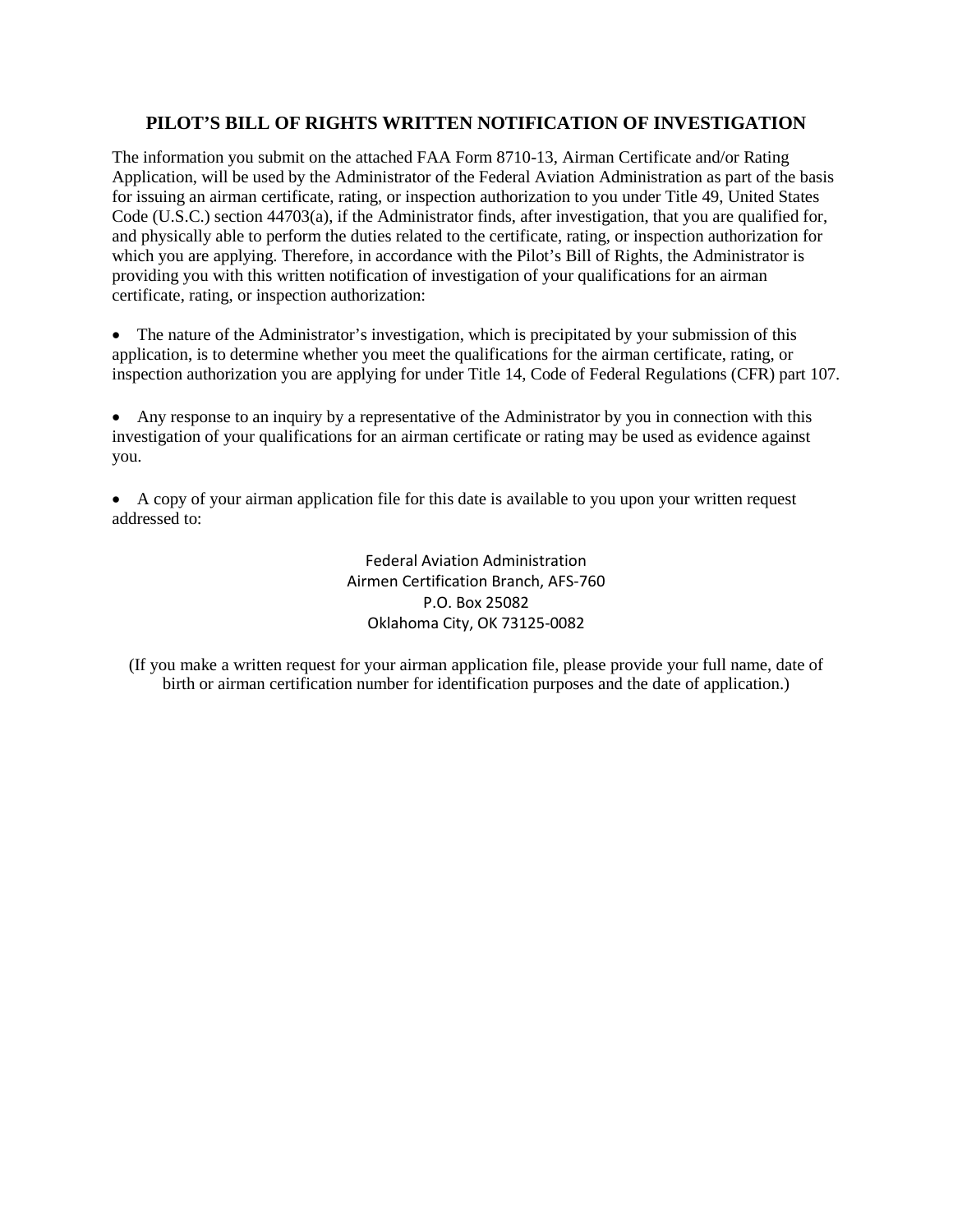## **PILOT'S BILL OF RIGHTS WRITTEN NOTIFICATION OF INVESTIGATION**

The information you submit on the attached FAA Form 8710-13, Airman Certificate and/or Rating Application, will be used by the Administrator of the Federal Aviation Administration as part of the basis for issuing an airman certificate, rating, or inspection authorization to you under Title 49, United States Code (U.S.C.) section 44703(a), if the Administrator finds, after investigation, that you are qualified for, and physically able to perform the duties related to the certificate, rating, or inspection authorization for which you are applying. Therefore, in accordance with the Pilot's Bill of Rights, the Administrator is providing you with this written notification of investigation of your qualifications for an airman certificate, rating, or inspection authorization:

• The nature of the Administrator's investigation, which is precipitated by your submission of this application, is to determine whether you meet the qualifications for the airman certificate, rating, or inspection authorization you are applying for under Title 14, Code of Federal Regulations (CFR) part [107.](javascript:openPage()

• Any response to an inquiry by a representative of the Administrator by you in connection with this investigation of your qualifications for an airman certificate or rating may be used as evidence against you.

• A copy of your airman application file for this date is available to you upon your written request addressed to:

> Federal Aviation Administration Airmen Certification Branch, AFS-760 P.O. Box 25082 Oklahoma City, OK 73125-0082

(If you make a written request for your airman application file, please provide your full name, date of birth or airman certification number for identification purposes and the date of application.)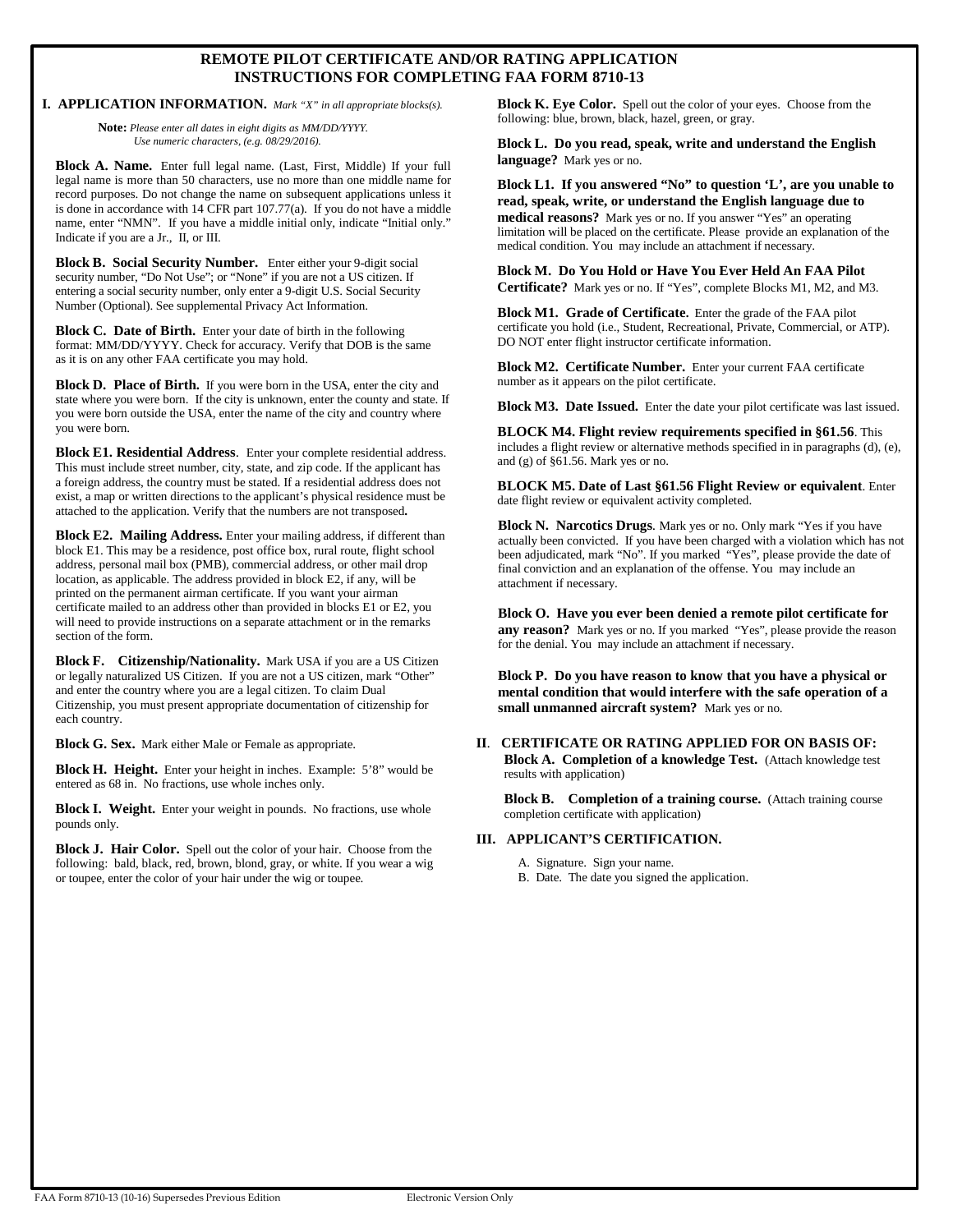### **REMOTE PILOT CERTIFICATE AND/OR RATING APPLICATION INSTRUCTIONS FOR COMPLETING FAA FORM 8710-13**

**I. APPLICATION INFORMATION.** *Mark "X" in all appropriate blocks(s).*

**Note:** *Please enter all dates in eight digits as MM/DD/YYYY. Use numeric characters, (e.g. 08/29/2016).*

**Block A. Name.** Enter full legal name. (Last, First, Middle) If your full legal name is more than 50 characters, use no more than one middle name for record purposes. Do not change the name on subsequent applications unless it is done in accordance with 14 CFR part 107.77(a). If you do not have a middle name, enter "NMN". If you have a middle initial only, indicate "Initial only." Indicate if you are a Jr., II, or III.

**Block B. Social Security Number.** Enter either your 9-digit social security number, "Do Not Use"; or "None" if you are not a US citizen. If entering a social security number, only enter a 9-digit U.S. Social Security Number (Optional). See supplemental Privacy Act Information.

**Block C. Date of Birth.** Enter your date of birth in the following format: MM/DD/YYYY. Check for accuracy. Verify that DOB is the same as it is on any other FAA certificate you may hold.

**Block D. Place of Birth.** If you were born in the USA, enter the city and state where you were born. If the city is unknown, enter the county and state. If you were born outside the USA, enter the name of the city and country where you were born.

**Block E1. Residential Address**. Enter your complete residential address. This must include street number, city, state, and zip code. If the applicant has a foreign address, the country must be stated. If a residential address does not exist, a map or written directions to the applicant's physical residence must be attached to the application. Verify that the numbers are not transposed**.** 

**Block E2. Mailing Address.** Enter your mailing address, if different than block E1. This may be a residence, post office box, rural route, flight school address, personal mail box (PMB), commercial address, or other mail drop location, as applicable. The address provided in block E2, if any, will be printed on the permanent airman certificate. If you want your airman certificate mailed to an address other than provided in blocks E1 or E2, you will need to provide instructions on a separate attachment or in the remarks section of the form.

**Block F. Citizenship/Nationality.** Mark USA if you are a US Citizen or legally naturalized US Citizen. If you are not a US citizen, mark "Other" and enter the country where you are a legal citizen. To claim Dual Citizenship, you must present appropriate documentation of citizenship for each country.

**Block G. Sex.** Mark either Male or Female as appropriate.

**Block H. Height.** Enter your height in inches. Example: 5'8" would be entered as 68 in. No fractions, use whole inches only.

**Block I. Weight.** Enter your weight in pounds. No fractions, use whole pounds only.

**Block J. Hair Color.** Spell out the color of your hair. Choose from the following: bald, black, red, brown, blond, gray, or white. If you wear a wig or toupee, enter the color of your hair under the wig or toupee.

**Block K. Eye Color.** Spell out the color of your eyes. Choose from the following: blue, brown, black, hazel, green, or gray.

**Block L. Do you read, speak, write and understand the English language?** Mark yes or no.

**Block L1. If you answered "No" to question 'L', are you unable to read, speak, write, or understand the English language due to medical reasons?** Mark yes or no. If you answer "Yes" an operating limitation will be placed on the certificate. Please provide an explanation of the medical condition. You may include an attachment if necessary.

**Block M. Do You Hold or Have You Ever Held An FAA Pilot Certificate?** Mark yes or no. If "Yes", complete Blocks M1, M2, and M3.

**Block M1. Grade of Certificate.** Enter the grade of the FAA pilot certificate you hold (i.e., Student, Recreational, Private, Commercial, or ATP). DO NOT enter flight instructor certificate information.

**Block M2. Certificate Number.** Enter your current FAA certificate number as it appears on the pilot certificate.

**Block M3. Date Issued.** Enter the date your pilot certificate was last issued.

**BLOCK M4. Flight review requirements specified in §61.56**. This includes a flight review or alternative methods specified in in paragraphs (d), (e), and (g) of §61.56. Mark yes or no.

**BLOCK M5. Date of Last §61.56 Flight Review or equivalent**. Enter date flight review or equivalent activity completed.

**Block N. Narcotics Drugs**. Mark yes or no. Only mark "Yes if you have actually been convicted. If you have been charged with a violation which has not been adjudicated, mark "No". If you marked "Yes", please provide the date of final conviction and an explanation of the offense. You may include an attachment if necessary.

**Block O. Have you ever been denied a remote pilot certificate for any reason?** Mark yes or no. If you marked "Yes", please provide the reason for the denial. You may include an attachment if necessary.

**Block P. Do you have reason to know that you have a physical or mental condition that would interfere with the safe operation of a small unmanned aircraft system?** Mark yes or no.

#### **II**. **CERTIFICATE OR RATING APPLIED FOR ON BASIS OF: Block A. Completion of a knowledge Test.** (Attach knowledge test results with application)

**Block B. Completion of a training course.** (Attach training course completion certificate with application)

#### **III. APPLICANT'S CERTIFICATION.**

- A. Signature. Sign your name.
- B. Date. The date you signed the application.